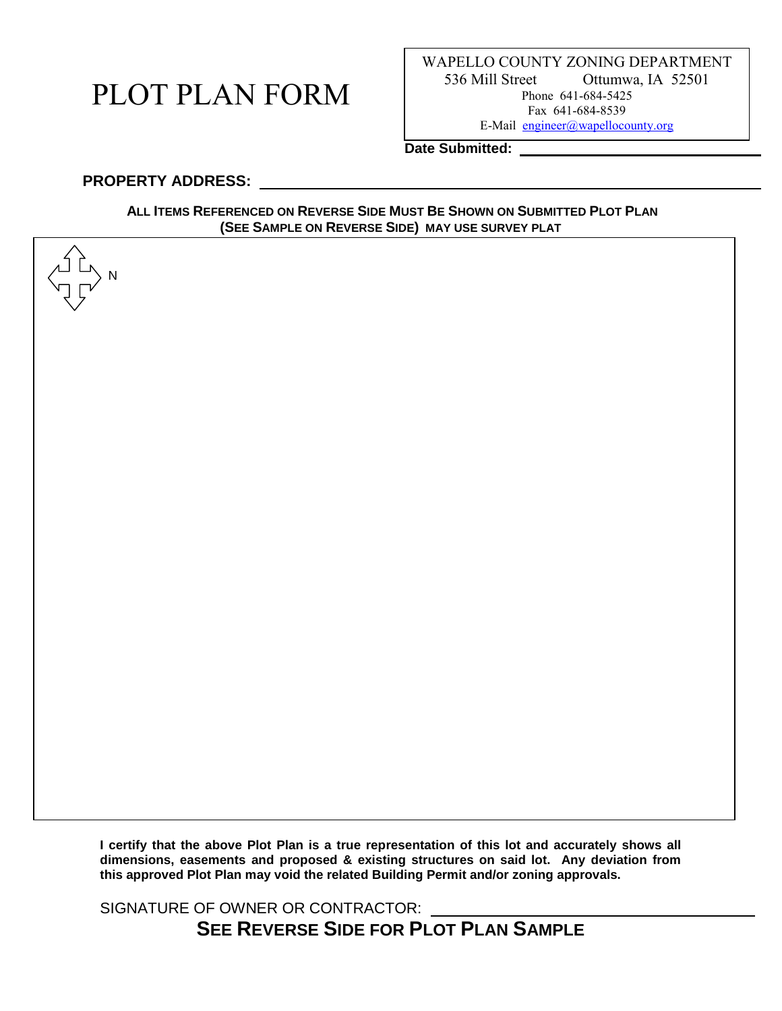# PLOT PLAN FORM

WAPELLO COUNTY ZONING DEPARTMENT 536 Mill Street Ottumwa, IA 52501 Phone 641-684-5425 Fax 641-684-8539 E-Mail [engineer@wapellocounty.org](mailto:engineer@wapellocounty.org)

**Date Submitted:** 

#### **PROPERTY ADDRESS:**

N

#### ALL ITEMS REFERENCED ON REVERSE SIDE MUST BE SHOWN ON SUBMITTED PLOT PLAN **(SEE SAMPLE ON REVERSE SIDE) MAY USE SURVEY PLAT**

**I certify that the above Plot Plan is a true representation of this lot and accurately shows all dimensions, easements and proposed & existing structures on said lot. Any deviation from this approved Plot Plan may void the related Building Permit and/or zoning approvals.**

SIGNATURE OF OWNER OR CONTRACTOR: **SEE REVERSE SIDE FOR PLOT PLAN SAMPLE**